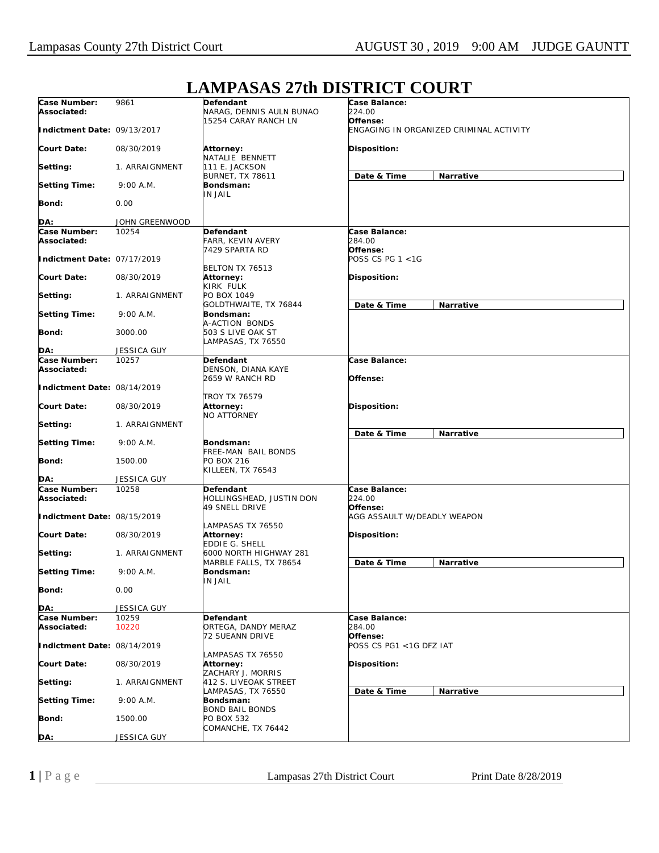## **Case Number: Associated: Indictment Date:** 09/13/2017 **Court Date: Setting: Setting Time: Bond: DA:** 9861 08/30/2019 1. ARRAIGNMENT 9:00 A.M.  $0.00$ JOHN GREENWOOD **Defendant** NARAG, DENNIS AULN BUNAO 15254 CARAY RANCH LN **Attorney:** NATALIE BENNETT 111 E. JACKSON BURNET, TX 78611 **Bondsman:** IN JAIL **Case Balance:** *224.00* **Offense:** *ENGAGING IN ORGANIZED CRIMINAL ACTIVITY* **Disposition: Date & Time Narrative Case Number: Associated: Indictment Date:** 07/17/2019 **Court Date: Setting: Setting Time: Bond: DA:** 10254 08/30/2019 1. ARRAIGNMENT 9:00 A.M. 3000.00 JESSICA GUY **Defendant** FARR, KEVIN AVERY 7429 SPARTA RD BELTON TX 76513 **Attorney:** KIRK FULK PO BOX 1049 GOLDTHWAITE, TX 76844 **Bondsman:** A-ACTION BONDS 503 S LIVE OAK ST LAMPASAS, TX 76550 **Case Balance:** *284.00* **Offense:** *POSS CS PG 1 <1G* **Disposition: Date & Time Narrative Case Number: Associated: Indictment Date:** 08/14/2019 **Court Date: Setting: Setting Time: Bond: DA:** 10257 08/30/2019 1. ARRAIGNMENT 9:00 A.M. 1500.00 JESSICA GUY **Defendant** DENSON, DIANA KAYE 2659 W RANCH RD TROY TX 76579 **Attorney:** NO ATTORNEY **Bondsman:** FREE-MAN BAIL BONDS PO BOX 216 KILLEEN, TX 76543 **Case Balance: Offense: Disposition: Date & Time Narrative Case Number: Associated: Indictment Date:** 08/15/2019 **Court Date: Setting: Setting Time: Bond: DA:** 10258 08/30/2019 1. ARRAIGNMENT 9:00 A.M. 0.00 JESSICA GUY **Defendant** HOLLINGSHEAD, JUSTIN DON 49 SNELL DRIVE LAMPASAS TX 76550 **Attorney:** EDDIE G. SHELL 6000 NORTH HIGHWAY 281 MARBLE FALLS, TX 78654 **Bondsman:** IN JAIL **Case Balance:** *224.00* **Offense:** *AGG ASSAULT W/DEADLY WEAPON* **Disposition: Date & Time Narrative Case Number: Associated: Indictment Date:** 08/14/2019 **Court Date: Setting: Setting Time: Bond: DA:** 10259 10220 08/30/2019 1. ARRAIGNMENT 9:00 A.M. 1500.00 JESSICA GUY **Defendant** ORTEGA, DANDY MERAZ 72 SUEANN DRIVE LAMPASAS TX 76550 **Attorney:** ZACHARY J. MORRIS 412 S. LIVEOAK STREET LAMPASAS, TX 76550 **Bondsman:** BOND BAIL BONDS PO BOX 532 COMANCHE, TX 76442 **Case Balance:** *284.00* **Offense:** *POSS CS PG1 <1G DFZ IAT* **Disposition: Date & Time Narrative**

## **LAMPASAS 27th DISTRICT COURT**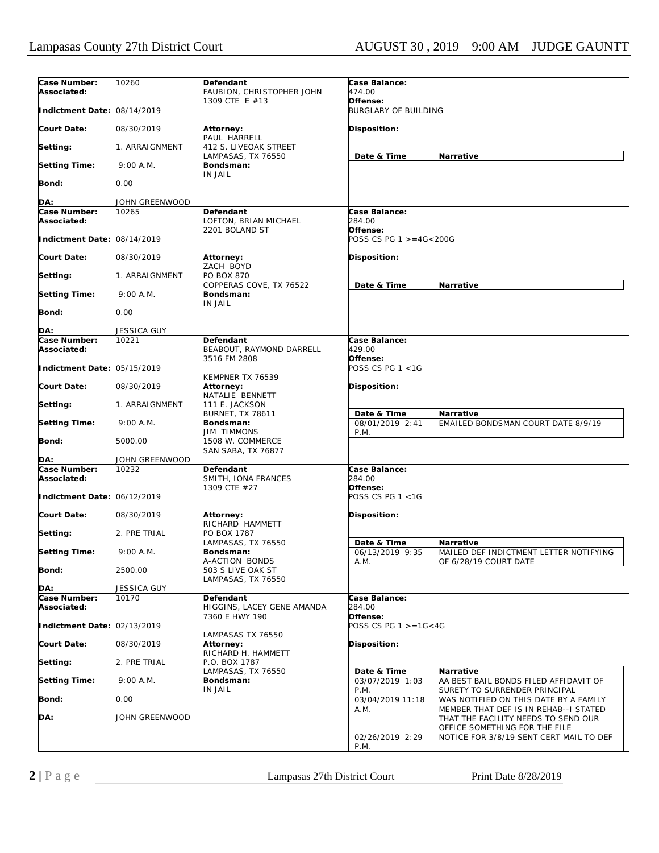| Case Number:<br>Associated:                | 10260              | Defendant<br>FAUBION, CHRISTOPHER JOHN                       | Case Balance:<br>474.00                      |                                                                                                               |
|--------------------------------------------|--------------------|--------------------------------------------------------------|----------------------------------------------|---------------------------------------------------------------------------------------------------------------|
| Indictment Date: 08/14/2019                |                    | 1309 CTE E #13                                               | Offense:<br><b>BURGLARY OF BUILDING</b>      |                                                                                                               |
| <b>Court Date:</b>                         | 08/30/2019         | Attorney:<br>PAUL HARRELL                                    | Disposition:                                 |                                                                                                               |
| Setting:                                   | 1. ARRAIGNMENT     | 412 S. LIVEOAK STREET<br>LAMPASAS, TX 76550                  | Date & Time                                  | Narrative                                                                                                     |
| <b>Setting Time:</b>                       | $9:00$ A.M.        | Bondsman:<br><b>IN JAIL</b>                                  |                                              |                                                                                                               |
| Bond:                                      | 0.00               |                                                              |                                              |                                                                                                               |
| DA:                                        | JOHN GREENWOOD     |                                                              |                                              |                                                                                                               |
| Case Number:                               | 10265              | Defendant                                                    | Case Balance:                                |                                                                                                               |
| Associated:<br>Indictment Date: 08/14/2019 |                    | LOFTON, BRIAN MICHAEL<br>2201 BOLAND ST                      | 284.00<br>Offense:<br>POSS CS PG 1 >=4G<200G |                                                                                                               |
| <b>Court Date:</b>                         | 08/30/2019         | Attorney:                                                    | Disposition:                                 |                                                                                                               |
| Setting:                                   | 1. ARRAIGNMENT     | ZACH BOYD<br><b>PO BOX 870</b>                               |                                              |                                                                                                               |
|                                            |                    | COPPERAS COVE, TX 76522                                      | Date & Time                                  | Narrative                                                                                                     |
| <b>Setting Time:</b>                       | $9:00$ A.M.        | Bondsman:<br><b>IN JAIL</b>                                  |                                              |                                                                                                               |
| Bond:                                      | 0.00               |                                                              |                                              |                                                                                                               |
| DA:                                        | <b>JESSICA GUY</b> |                                                              |                                              |                                                                                                               |
| Case Number:<br>Associated:                | 10221              | <b>Defendant</b><br>BEABOUT, RAYMOND DARRELL<br>3516 FM 2808 | <b>Case Balance:</b><br>429.00<br>Offense:   |                                                                                                               |
| Indictment Date: 05/15/2019                |                    | KEMPNER TX 76539                                             | POSS CS PG $1 < 1$ G                         |                                                                                                               |
| <b>Court Date:</b>                         | 08/30/2019         | Attorney:<br>NATALIE BENNETT                                 | Disposition:                                 |                                                                                                               |
| Setting:                                   | 1. ARRAIGNMENT     | 111 E. JACKSON                                               |                                              |                                                                                                               |
| <b>Setting Time:</b>                       | $9:00$ A.M.        | <b>BURNET, TX 78611</b><br>Bondsman:                         | Date & Time<br>08/01/2019 2:41               | Narrative<br>EMAILED BONDSMAN COURT DATE 8/9/19                                                               |
| Bond:                                      | 5000.00            | <b>JIM TIMMONS</b><br>1508 W. COMMERCE<br>SAN SABA, TX 76877 | P.M.                                         |                                                                                                               |
| DA:                                        | JOHN GREENWOOD     |                                                              |                                              |                                                                                                               |
| Case Number:                               | 10232              | Defendant                                                    | Case Balance:                                |                                                                                                               |
| Associated:<br>Indictment Date: 06/12/2019 |                    | SMITH, IONA FRANCES<br>1309 CTE #27                          | 284.00<br>Offense:<br>POSS CS PG $1 < 1$ G   |                                                                                                               |
| <b>Court Date:</b>                         | 08/30/2019         | <b>Attorney:</b>                                             | Disposition:                                 |                                                                                                               |
| Setting:                                   | 2. PRE TRIAL       | RICHARD HAMMETT<br>PO BOX 1787                               |                                              |                                                                                                               |
|                                            |                    | LAMPASAS, TX 76550                                           | Date & Time                                  | <b>Narrative</b>                                                                                              |
| <b>Setting Time:</b>                       | 9:00 A.M.          | Bondsman:<br>A-ACTION BONDS                                  | 06/13/2019 9:35<br>A.M.                      | MAILED DEF INDICTMENT LETTER NOTIFYING<br>OF 6/28/19 COURT DATE                                               |
| Bond:                                      | 2500.00            | 503 S LIVE OAK ST<br>LAMPASAS, TX 76550                      |                                              |                                                                                                               |
| DA:                                        | <b>JESSICA GUY</b> |                                                              |                                              |                                                                                                               |
| Case Number:<br>Associated:                | 10170              | Defendant<br>HIGGINS, LACEY GENE AMANDA                      | Case Balance:<br>284.00                      |                                                                                                               |
| Indictment Date: 02/13/2019                |                    | 7360 E HWY 190                                               | Offense:<br>POSS CS PG $1 > = 16 < 4G$       |                                                                                                               |
| Court Date:                                | 08/30/2019         | LAMPASAS TX 76550<br><b>Attorney:</b><br>RICHARD H. HAMMETT  | Disposition:                                 |                                                                                                               |
| Setting:                                   | 2. PRE TRIAL       | P.O. BOX 1787                                                |                                              |                                                                                                               |
| <b>Setting Time:</b>                       | $9:00$ A.M.        | LAMPASAS, TX 76550<br>Bondsman:<br>IN JAIL                   | Date & Time<br>03/07/2019 1:03               | Narrative<br>AA BEST BAIL BONDS FILED AFFIDAVIT OF                                                            |
| <b>Bond:</b>                               | 0.00               |                                                              | P.M.<br>03/04/2019 11:18                     | SURETY TO SURRENDER PRINCIPAL<br>WAS NOTIFIED ON THIS DATE BY A FAMILY                                        |
| DA:                                        | JOHN GREENWOOD     |                                                              | A.M.                                         | MEMBER THAT DEF IS IN REHAB--I STATED<br>THAT THE FACILITY NEEDS TO SEND OUR<br>OFFICE SOMETHING FOR THE FILE |
|                                            |                    |                                                              | 02/26/2019 2:29<br>P.M.                      | NOTICE FOR 3/8/19 SENT CERT MAIL TO DEF                                                                       |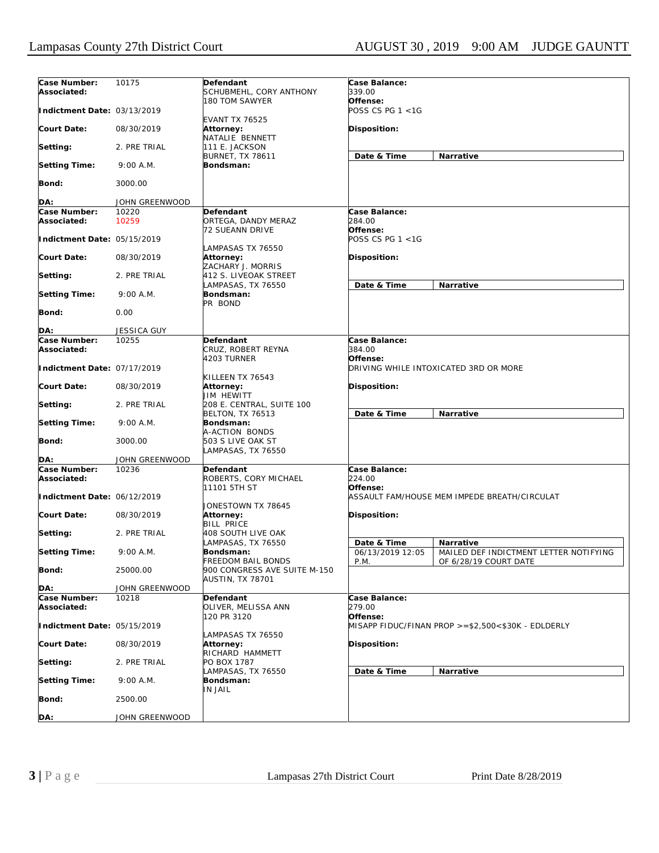| Case Number:<br>Associated: | 10175              | Defendant<br>SCHUBMEHL, CORY ANTHONY                    | Case Balance:<br>339.00             |                                                                 |
|-----------------------------|--------------------|---------------------------------------------------------|-------------------------------------|-----------------------------------------------------------------|
| Indictment Date: 03/13/2019 |                    | 180 TOM SAWYER<br><b>EVANT TX 76525</b>                 | Offense:<br>POSS CS PG 1 <1G        |                                                                 |
| <b>Court Date:</b>          | 08/30/2019         | Attorney:<br>NATALIE BENNETT                            | <b>Disposition:</b>                 |                                                                 |
| Setting:                    | 2. PRE TRIAL       | 111 E. JACKSON                                          |                                     |                                                                 |
| <b>Setting Time:</b>        | $9:00$ A.M.        | <b>BURNET, TX 78611</b><br>Bondsman:                    | Date & Time                         | Narrative                                                       |
| Bond:                       | 3000.00            |                                                         |                                     |                                                                 |
| DA:                         | JOHN GREENWOOD     |                                                         |                                     |                                                                 |
| Case Number:                | 10220              | <b>Defendant</b>                                        | Case Balance:                       |                                                                 |
| Associated:                 | 10259              | ORTEGA, DANDY MERAZ<br><b>72 SUEANN DRIVE</b>           | 284.00<br>Offense:                  |                                                                 |
| Indictment Date: 05/15/2019 |                    | LAMPASAS TX 76550                                       | POSS CS PG 1 <1G                    |                                                                 |
| <b>Court Date:</b>          | 08/30/2019         | Attorney:<br>ZACHARY J. MORRIS                          | Disposition:                        |                                                                 |
| Setting:                    | 2. PRE TRIAL       | 412 S. LIVEOAK STREET                                   |                                     |                                                                 |
| <b>Setting Time:</b>        | $9:00$ A.M.        | LAMPASAS, TX 76550<br>Bondsman:<br>PR BOND              | Date & Time                         | Narrative                                                       |
| Bond:                       | 0.00               |                                                         |                                     |                                                                 |
| DA:                         | <b>JESSICA GUY</b> |                                                         |                                     |                                                                 |
| Case Number:                | 10255              | Defendant                                               | Case Balance:                       |                                                                 |
| Associated:                 |                    | CRUZ, ROBERT REYNA                                      | 384.00                              |                                                                 |
| Indictment Date: 07/17/2019 |                    | 4203 TURNER                                             | Offense:                            | DRIVING WHILE INTOXICATED 3RD OR MORE                           |
| <b>Court Date:</b>          | 08/30/2019         | KILLEEN TX 76543<br>Attorney:<br>JIM HEWITT             | Disposition:                        |                                                                 |
| Setting:                    | 2. PRE TRIAL       | 208 E. CENTRAL, SUITE 100<br>BELTON, TX 76513           | Date & Time                         | Narrative                                                       |
| <b>Setting Time:</b>        | 9:00 A.M.          | Bondsman:<br>A-ACTION BONDS                             |                                     |                                                                 |
| Bond:                       | 3000.00            | 503 S LIVE OAK ST<br>LAMPASAS, TX 76550                 |                                     |                                                                 |
| DA:                         | JOHN GREENWOOD     |                                                         |                                     |                                                                 |
| Case Number:<br>Associated: | 10236              | Defendant<br>ROBERTS, CORY MICHAEL<br>11101 5TH ST      | Case Balance:<br>224.00<br>Offense: |                                                                 |
| Indictment Date: 06/12/2019 |                    | JONESTOWN TX 78645                                      |                                     | ASSAULT FAM/HOUSE MEM IMPEDE BREATH/CIRCULAT                    |
| <b>Court Date:</b>          | 08/30/2019         | Attorney:<br><b>BILL PRICE</b>                          | Disposition:                        |                                                                 |
| Setting:                    | 2. PRE TRIAL       | 408 SOUTH LIVE OAK<br>LAMPASAS, TX 76550                | Date & Time                         | <b>Narrative</b>                                                |
| <b>Setting Time:</b>        | 9:00 A.M.          | Bondsman:<br><b>FREEDOM BAIL BONDS</b>                  | 06/13/2019 12:05<br>P.M.            | MAILED DEF INDICTMENT LETTER NOTIFYING<br>OF 6/28/19 COURT DATE |
| Bond:                       | 25000.00           | 900 CONGRESS AVE SUITE M-150<br><b>AUSTIN, TX 78701</b> |                                     |                                                                 |
| DA:                         | JOHN GREENWOOD     |                                                         |                                     |                                                                 |
| Case Number:<br>Associated: | 10218              | Defendant<br>OLIVER, MELISSA ANN                        | Case Balance:<br>279.00             |                                                                 |
| Indictment Date: 05/15/2019 |                    | 120 PR 3120                                             | Offense:                            | MISAPP FIDUC/FINAN PROP >=\$2,500<\$30K - EDLDERLY              |
| <b>Court Date:</b>          | 08/30/2019         | AMPASAS TX 76550<br>Attorney:                           | Disposition:                        |                                                                 |
| Setting:                    | 2. PRE TRIAL       | RICHARD HAMMETT<br>PO BOX 1787                          |                                     |                                                                 |
| <b>Setting Time:</b>        | $9:00$ A.M.        | LAMPASAS, TX 76550<br>Bondsman:                         | Date & Time                         | Narrative                                                       |
| <b>Bond:</b>                | 2500.00            | IN JAIL                                                 |                                     |                                                                 |
| DA:                         | JOHN GREENWOOD     |                                                         |                                     |                                                                 |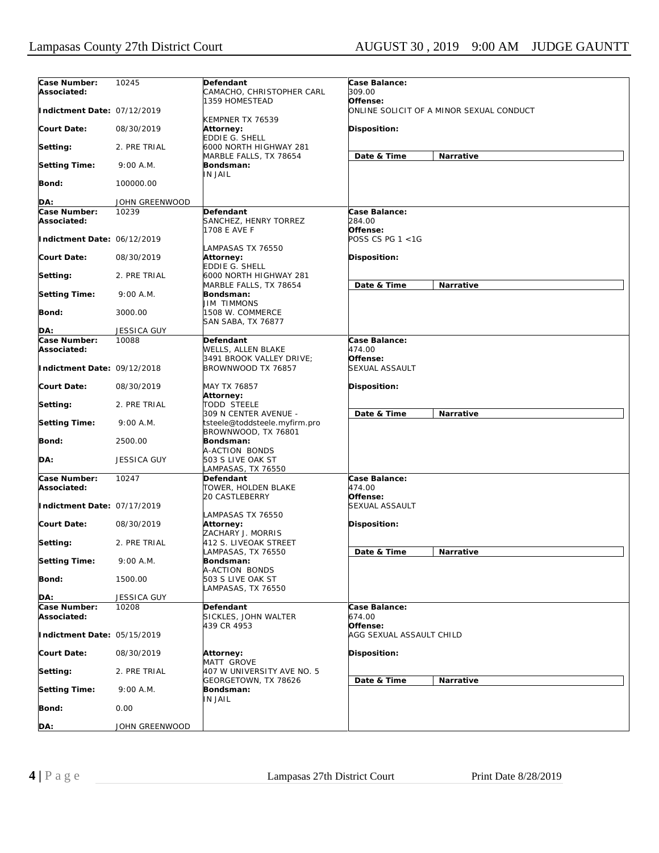| Case Number:<br>Associated: | 10245              | Defendant<br>CAMACHO, CHRISTOPHER CARL                 | Case Balance:<br>309.00                              |
|-----------------------------|--------------------|--------------------------------------------------------|------------------------------------------------------|
| Indictment Date: 07/12/2019 |                    | 1359 HOMESTEAD                                         | Offense:<br>ONLINE SOLICIT OF A MINOR SEXUAL CONDUCT |
| Court Date:                 | 08/30/2019         | KEMPNER TX 76539<br>Attorney:<br><b>EDDIE G. SHELL</b> | Disposition:                                         |
| Setting:                    | 2. PRE TRIAL       | 6000 NORTH HIGHWAY 281<br>MARBLE FALLS, TX 78654       | Date & Time<br>Narrative                             |
| <b>Setting Time:</b>        | $9:00$ A.M.        | Bondsman:<br><b>IN JAIL</b>                            |                                                      |
| Bond:                       | 100000.00          |                                                        |                                                      |
| DA:                         | JOHN GREENWOOD     |                                                        |                                                      |
| Case Number:                | 10239              | Defendant                                              | Case Balance:                                        |
| Associated:                 |                    | SANCHEZ, HENRY TORREZ                                  | 284.00                                               |
|                             |                    | 1708 E AVE F                                           | Offense:                                             |
| Indictment Date: 06/12/2019 |                    |                                                        | POSS CS PG 1 <1G                                     |
|                             |                    | LAMPASAS TX 76550                                      |                                                      |
| Court Date:                 | 08/30/2019         | Attorney:                                              | Disposition:                                         |
|                             |                    | <b>EDDIE G. SHELL</b>                                  |                                                      |
| Setting:                    | 2. PRE TRIAL       | 6000 NORTH HIGHWAY 281                                 |                                                      |
|                             |                    | MARBLE FALLS, TX 78654                                 | Date & Time<br>Narrative                             |
| <b>Setting Time:</b>        | $9:00$ A.M.        | Bondsman:                                              |                                                      |
|                             |                    | <b>JIM TIMMONS</b>                                     |                                                      |
| Bond:                       | 3000.00            | 1508 W. COMMERCE                                       |                                                      |
| DA:                         | JESSICA GUY        | <b>SAN SABA, TX 76877</b>                              |                                                      |
| Case Number:                | 10088              | Defendant                                              | Case Balance:                                        |
| Associated:                 |                    | WELLS, ALLEN BLAKE                                     | 474.00                                               |
|                             |                    | 3491 BROOK VALLEY DRIVE:                               | Offense:                                             |
| Indictment Date: 09/12/2018 |                    | BROWNWOOD TX 76857                                     | <b>SEXUAL ASSAULT</b>                                |
|                             |                    |                                                        |                                                      |
| Court Date:                 | 08/30/2019         | MAY TX 76857<br>Attorney:                              | Disposition:                                         |
| Setting:                    | 2. PRE TRIAL       | <b>TODD STEELE</b>                                     |                                                      |
|                             |                    | 309 N CENTER AVENUE -                                  | Date & Time<br>Narrative                             |
| <b>Setting Time:</b>        | $9:00$ A.M.        | tsteele@toddsteele.myfirm.pro                          |                                                      |
|                             |                    | BROWNWOOD, TX 76801                                    |                                                      |
| Bond:                       | 2500.00            | Bondsman:                                              |                                                      |
|                             |                    | A-ACTION BONDS                                         |                                                      |
| DA:                         | <b>JESSICA GUY</b> | 503 S LIVE OAK ST                                      |                                                      |
|                             |                    | .AMPASAS, TX 76550                                     |                                                      |
| Case Number:                | 10247              | Defendant                                              | Case Balance:                                        |
| Associated:                 |                    | TOWER, HOLDEN BLAKE                                    | 474.00                                               |
|                             |                    | <b>20 CASTLEBERRY</b>                                  | Offense:                                             |
| Indictment Date: 07/17/2019 |                    | LAMPASAS TX 76550                                      | <b>SEXUAL ASSAULT</b>                                |
| <b>Court Date:</b>          | 08/30/2019         | Attorney:                                              | Disposition:                                         |
|                             |                    | ZACHARY J. MORRIS                                      |                                                      |
| Setting:                    | 2. PRE TRIAL       | 412 S. LIVEOAK STREET                                  |                                                      |
|                             |                    | LAMPASAS, TX 76550                                     | Date & Time<br>Narrative                             |
| <b>Setting Time:</b>        | 9:00 A.M.          | Bondsman:                                              |                                                      |
|                             |                    | A-ACTION BONDS                                         |                                                      |
| <b>Bond:</b>                | 1500.00            | 503 S LIVE OAK ST                                      |                                                      |
|                             |                    | LAMPASAS, TX 76550                                     |                                                      |
| DA:                         | JESSICA GUY        |                                                        |                                                      |
| Case Number:<br>Associated: | 10208              | Defendant<br>SICKLES, JOHN WALTER                      | Case Balance:<br>674.00                              |
| Indictment Date: 05/15/2019 |                    | 439 CR 4953                                            | Offense:<br>AGG SEXUAL ASSAULT CHILD                 |
|                             |                    |                                                        |                                                      |
| <b>Court Date:</b>          | 08/30/2019         | Attorney:                                              | Disposition:                                         |
|                             |                    | MATT GROVE                                             |                                                      |
| Setting:                    | 2. PRE TRIAL       | 407 W UNIVERSITY AVE NO. 5                             |                                                      |
|                             |                    | GEORGETOWN, TX 78626                                   | Date & Time<br>Narrative                             |
| <b>Setting Time:</b>        | 9:00 A.M.          | Bondsman:                                              |                                                      |
|                             |                    | IN JAIL                                                |                                                      |
| Bond:                       | 0.00               |                                                        |                                                      |
|                             |                    |                                                        |                                                      |
| DA:                         | JOHN GREENWOOD     |                                                        |                                                      |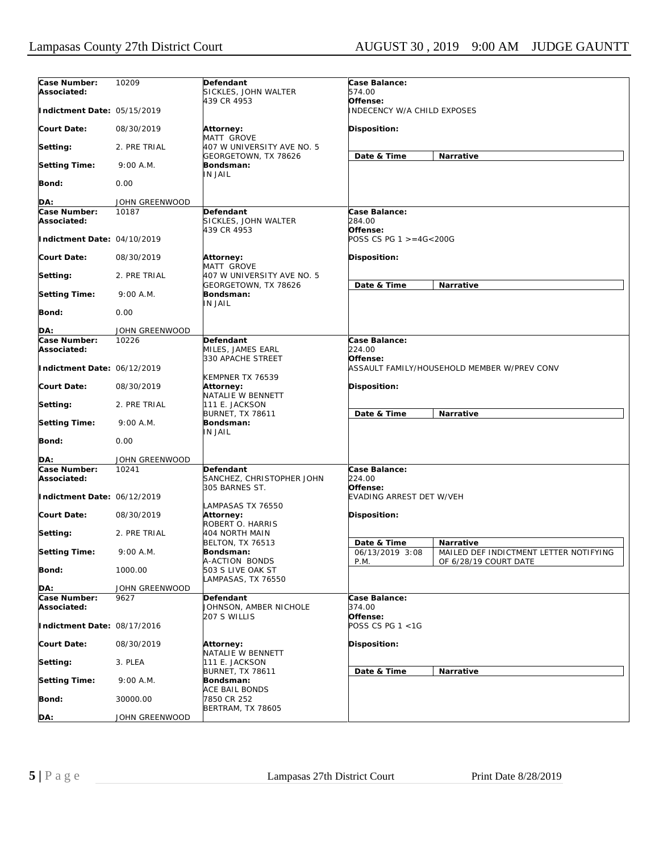| Case Number:<br>Associated: | 10209          | Defendant<br>SICKLES, JOHN WALTER                        | Case Balance:<br>574.00                                                                    |
|-----------------------------|----------------|----------------------------------------------------------|--------------------------------------------------------------------------------------------|
| Indictment Date: 05/15/2019 |                | 439 CR 4953                                              | Offense:<br><b>INDECENCY W/A CHILD EXPOSES</b>                                             |
| <b>Court Date:</b>          | 08/30/2019     | Attorney:<br>MATT GROVE                                  | Disposition:                                                                               |
| Setting:                    | 2. PRE TRIAL   | 407 W UNIVERSITY AVE NO. 5<br>GEORGETOWN, TX 78626       | Date & Time<br>Narrative                                                                   |
| <b>Setting Time:</b>        | $9:00$ A.M.    | Bondsman:<br><b>IN JAIL</b>                              |                                                                                            |
| <b>Bond:</b>                | 0.00           |                                                          |                                                                                            |
| DA:                         | JOHN GREENWOOD |                                                          |                                                                                            |
| Case Number:                | 10187          | Defendant                                                | Case Balance:                                                                              |
| Associated:                 |                | SICKLES, JOHN WALTER<br>439 CR 4953                      | 284.00<br>Offense:                                                                         |
| Indictment Date: 04/10/2019 |                |                                                          | POSS CS PG 1 >=4G<200G                                                                     |
| <b>Court Date:</b>          | 08/30/2019     | Attorney:<br>MATT GROVE                                  | Disposition:                                                                               |
| Setting:                    | 2. PRE TRIAL   | 407 W UNIVERSITY AVE NO. 5<br>GEORGETOWN, TX 78626       | Date & Time<br>Narrative                                                                   |
| <b>Setting Time:</b>        | $9:00$ A.M.    | Bondsman:<br><b>IN JAIL</b>                              |                                                                                            |
| <b>Bond:</b>                | 0.00           |                                                          |                                                                                            |
| DA:                         | JOHN GREENWOOD |                                                          |                                                                                            |
| Case Number:                | 10226          | Defendant                                                | Case Balance:                                                                              |
| Associated:                 |                | MILES, JAMES EARL                                        | 224.00                                                                                     |
| Indictment Date: 06/12/2019 |                | 330 APACHE STREET                                        | Offense:<br>ASSAULT FAMILY/HOUSEHOLD MEMBER W/PREV CONV                                    |
| <b>Court Date:</b>          | 08/30/2019     | KEMPNER TX 76539<br>Attorney:<br>NATALIE W BENNETT       | Disposition:                                                                               |
| Setting:                    | 2. PRE TRIAL   | 111 E. JACKSON<br><b>BURNET, TX 78611</b>                | Date & Time<br>Narrative                                                                   |
| <b>Setting Time:</b>        | $9:00$ A.M.    | Bondsman:<br>IN JAIL                                     |                                                                                            |
| Bond:                       | 0.00           |                                                          |                                                                                            |
| DA:                         | JOHN GREENWOOD |                                                          |                                                                                            |
| Case Number:<br>Associated: | 10241          | Defendant<br>SANCHEZ, CHRISTOPHER JOHN<br>305 BARNES ST. | Case Balance:<br>224.00<br>Offense:                                                        |
| Indictment Date: 06/12/2019 |                | LAMPASAS TX 76550                                        | <b>EVADING ARREST DET W/VEH</b>                                                            |
| <b>Court Date:</b>          | 08/30/2019     | Attorney:<br>ROBERT O. HARRIS                            | Disposition:                                                                               |
| Setting:                    | 2. PRE TRIAL   | 404 NORTH MAIN<br><b>BELTON, TX 76513</b>                | Date & Time<br>Narrative                                                                   |
| <b>Setting Time:</b>        | $9:00$ A.M.    | Bondsman:<br>A-ACTION BONDS                              | 06/13/2019 3:08<br>MAILED DEF INDICTMENT LETTER NOTIFYING<br>P.M.<br>OF 6/28/19 COURT DATE |
| <b>Bond:</b>                | 1000.00        | 503 S LIVE OAK ST<br>LAMPASAS, TX 76550                  |                                                                                            |
| DA:                         | JOHN GREENWOOD |                                                          |                                                                                            |
| Case Number:<br>Associated: | 9627           | Defendant<br>JOHNSON, AMBER NICHOLE                      | Case Balance:<br>374.00                                                                    |
| Indictment Date: 08/17/2016 |                | 207 S WILLIS                                             | Offense:<br>POSS CS PG 1 <1G                                                               |
| <b>Court Date:</b>          | 08/30/2019     | Attorney:<br>NATALIE W BENNETT                           | Disposition:                                                                               |
| Setting:                    | 3. PLEA        | 111 E. JACKSON                                           |                                                                                            |
| <b>Setting Time:</b>        | 9:00 A.M.      | <b>BURNET, TX 78611</b><br>Bondsman:                     | Date & Time<br>Narrative                                                                   |
| Bond:                       | 30000.00       | <b>ACE BAIL BONDS</b><br>7850 CR 252                     |                                                                                            |
| DA:                         | JOHN GREENWOOD | BERTRAM, TX 78605                                        |                                                                                            |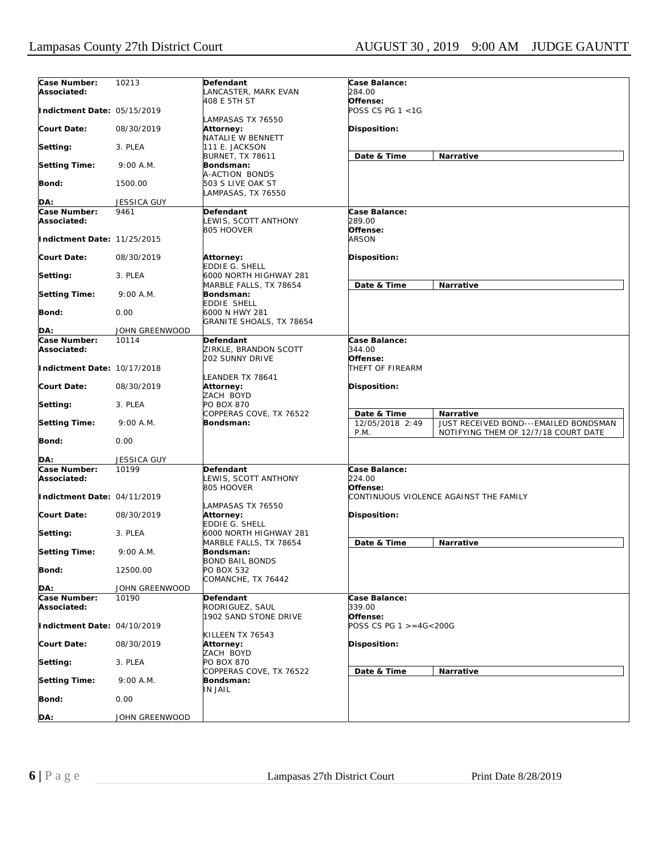| Case Number:<br>Associated: | 10213          | Defendant<br>LANCASTER, MARK EVAN                         | Case Balance:<br>284.00                |                                                                               |
|-----------------------------|----------------|-----------------------------------------------------------|----------------------------------------|-------------------------------------------------------------------------------|
| Indictment Date: 05/15/2019 |                | 408 E 5TH ST                                              | Offense:<br>POSS CS PG 1 <1G           |                                                                               |
| <b>Court Date:</b>          | 08/30/2019     | LAMPASAS TX 76550<br>Attorney:<br>NATALIE W BENNETT       | Disposition:                           |                                                                               |
| Setting:                    | 3. PLEA        | 111 E. JACKSON                                            |                                        |                                                                               |
| <b>Setting Time:</b>        | $9:00$ A.M.    | <b>BURNET, TX 78611</b><br>Bondsman:                      | Date & Time                            | Narrative                                                                     |
| <b>Bond:</b>                | 1500.00        | A-ACTION BONDS<br>503 S LIVE OAK ST<br>LAMPASAS, TX 76550 |                                        |                                                                               |
| DA:                         | JESSICA GUY    |                                                           |                                        |                                                                               |
| Case Number:                | 9461           | <b>Defendant</b>                                          | Case Balance:                          |                                                                               |
| Associated:                 |                | LEWIS, SCOTT ANTHONY<br>805 HOOVER                        | 289.00<br>Offense:                     |                                                                               |
| Indictment Date: 11/25/2015 |                |                                                           | <b>ARSON</b>                           |                                                                               |
| Court Date:                 | 08/30/2019     | Attorney:<br><b>EDDIE G. SHELL</b>                        | Disposition:                           |                                                                               |
| Setting:                    | 3. PLEA        | 6000 NORTH HIGHWAY 281<br>MARBLE FALLS, TX 78654          | Date & Time                            | <b>Narrative</b>                                                              |
| <b>Setting Time:</b>        | $9:00$ A.M.    | Bondsman:<br>EDDIE SHELL                                  |                                        |                                                                               |
| <b>Bond:</b>                | 0.00           | 6000 N HWY 281<br>GRANITE SHOALS, TX 78654                |                                        |                                                                               |
| DA:                         | JOHN GREENWOOD |                                                           |                                        |                                                                               |
| Case Number:                | 10114          | <b>Defendant</b>                                          | Case Balance:                          |                                                                               |
| Associated:                 |                | ZIRKLE, BRANDON SCOTT                                     | 344.00                                 |                                                                               |
| Indictment Date: 10/17/2018 |                | <b>202 SUNNY DRIVE</b>                                    | Offense:<br>THEFT OF FIREARM           |                                                                               |
| <b>Court Date:</b>          | 08/30/2019     | LEANDER TX 78641<br>Attorney:<br>ZACH BOYD                | Disposition:                           |                                                                               |
| Setting:                    | 3. PLEA        | PO BOX 870<br>COPPERAS COVE, TX 76522                     | Date & Time                            | Narrative                                                                     |
| <b>Setting Time:</b>        | $9:00$ A.M.    | Bondsman:                                                 | 12/05/2018 2:49<br>P.M.                | JUST RECEIVED BOND---EMAILED BONDSMAN<br>NOTIFYING THEM OF 12/7/18 COURT DATE |
| Bond:                       | 0.00           |                                                           |                                        |                                                                               |
| DA:                         | JESSICA GUY    |                                                           |                                        |                                                                               |
| Case Number:<br>Associated: | 10199          | Defendant<br>LEWIS, SCOTT ANTHONY<br>805 HOOVER           | Case Balance:<br>224.00<br>Offense:    |                                                                               |
| Indictment Date: 04/11/2019 |                | LAMPASAS TX 76550                                         | CONTINUOUS VIOLENCE AGAINST THE FAMILY |                                                                               |
| <b>Court Date:</b>          | 08/30/2019     | Attorney:<br>EDDIE G. SHELL                               | Disposition:                           |                                                                               |
| Setting:                    | 3. PLEA        | 6000 NORTH HIGHWAY 281<br>MARBLE FALLS, TX 78654          | Date & Time                            | Narrative                                                                     |
| <b>Setting Time:</b>        | $9:00$ A.M.    | Bondsman:<br><b>BOND BAIL BONDS</b>                       |                                        |                                                                               |
| <b>Bond:</b>                | 12500.00       | PO BOX 532<br>COMANCHE, TX 76442                          |                                        |                                                                               |
| DA:                         | JOHN GREENWOOD |                                                           |                                        |                                                                               |
| Case Number:<br>Associated: | 10190          | Defendant<br>RODRIGUEZ, SAUL                              | Case Balance:<br>339.00                |                                                                               |
| Indictment Date: 04/10/2019 |                | 1902 SAND STONE DRIVE                                     | Offense:<br>POSS CS PG 1 >=4G<200G     |                                                                               |
| <b>Court Date:</b>          | 08/30/2019     | KILLEEN TX 76543<br>Attorney:<br>ZACH BOYD                | Disposition:                           |                                                                               |
| Setting:                    | 3. PLEA        | PO BOX 870                                                |                                        |                                                                               |
| <b>Setting Time:</b>        | 9:00 A.M.      | COPPERAS COVE, TX 76522<br>Bondsman:                      | Date & Time                            | Narrative                                                                     |
| Bond:                       | 0.00           | <b>IN JAIL</b>                                            |                                        |                                                                               |
| DA:                         | JOHN GREENWOOD |                                                           |                                        |                                                                               |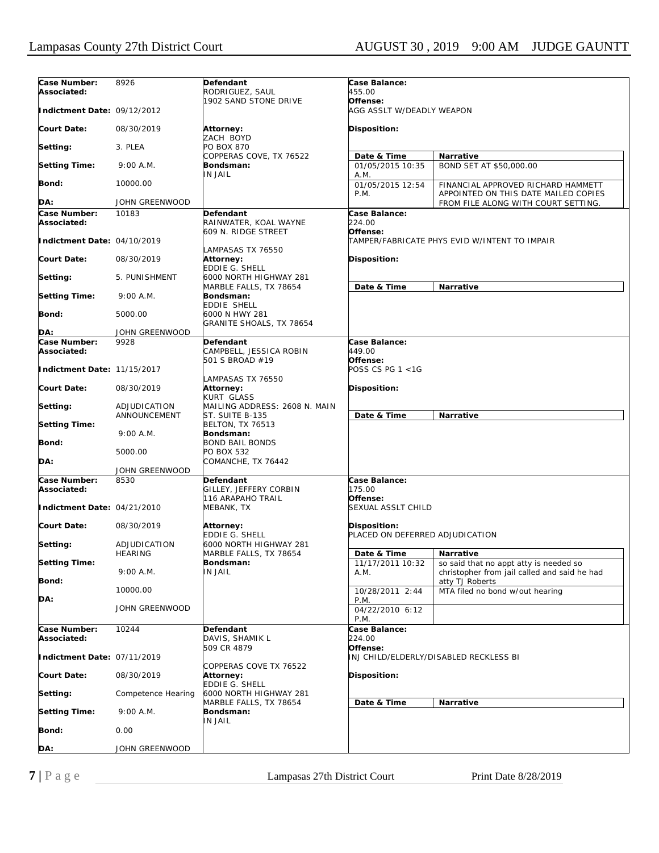| Case Number:<br>Associated: | 8926                           | Defendant<br>RODRIGUEZ, SAUL                                 | Case Balance:<br>455.00                         |                                                                                        |
|-----------------------------|--------------------------------|--------------------------------------------------------------|-------------------------------------------------|----------------------------------------------------------------------------------------|
|                             |                                | 1902 SAND STONE DRIVE                                        | Offense:                                        |                                                                                        |
| Indictment Date: 09/12/2012 |                                |                                                              | AGG ASSLT W/DEADLY WEAPON                       |                                                                                        |
| <b>Court Date:</b>          | 08/30/2019                     | Attorney:<br>ZACH BOYD                                       | <b>Disposition:</b>                             |                                                                                        |
| Setting:                    | 3. PLEA                        | PO BOX 870<br>COPPERAS COVE, TX 76522                        | Date & Time                                     | <b>Narrative</b>                                                                       |
| <b>Setting Time:</b>        | $9:00$ A.M.                    | Bondsman:<br>IN JAIL                                         | 01/05/2015 10:35<br>A.M.                        | BOND SET AT \$50,000.00                                                                |
| Bond:                       | 10000.00                       |                                                              | 01/05/2015 12:54<br>P.M.                        | FINANCIAL APPROVED RICHARD HAMMETT<br>APPOINTED ON THIS DATE MAILED COPIES             |
| DA:                         | JOHN GREENWOOD                 |                                                              |                                                 | FROM FILE ALONG WITH COURT SETTING.                                                    |
| Case Number:<br>Associated: | 10183                          | Defendant<br>RAINWATER, KOAL WAYNE                           | Case Balance:<br>224.00                         |                                                                                        |
| Indictment Date: 04/10/2019 |                                | 609 N. RIDGE STREET                                          | Offense:                                        | TAMPER/FABRICATE PHYS EVID W/INTENT TO IMPAIR                                          |
| <b>Court Date:</b>          | 08/30/2019                     | LAMPASAS TX 76550<br>Attorney:                               | <b>Disposition:</b>                             |                                                                                        |
| Setting:                    | 5. PUNISHMENT                  | EDDIE G. SHELL<br>6000 NORTH HIGHWAY 281                     |                                                 |                                                                                        |
| <b>Setting Time:</b>        | $9:00$ A.M.                    | MARBLE FALLS, TX 78654<br>Bondsman:<br>EDDIE SHELL           | Date & Time                                     | Narrative                                                                              |
| Bond:                       | 5000.00                        | 6000 N HWY 281<br>GRANITE SHOALS, TX 78654                   |                                                 |                                                                                        |
| DA:                         | JOHN GREENWOOD                 |                                                              |                                                 |                                                                                        |
| Case Number:<br>Associated: | 9928                           | Defendant<br>CAMPBELL, JESSICA ROBIN                         | Case Balance:<br>449.00                         |                                                                                        |
| Indictment Date: 11/15/2017 |                                | 501 S BROAD #19<br>LAMPASAS TX 76550                         | Offense:<br>POSS CS PG 1 <1G                    |                                                                                        |
| <b>Court Date:</b>          | 08/30/2019                     | Attorney:<br>KURT GLASS                                      | <b>Disposition:</b>                             |                                                                                        |
| Setting:                    | ADJUDICATION                   | MAILING ADDRESS: 2608 N. MAIN                                |                                                 |                                                                                        |
| <b>Setting Time:</b>        | ANNOUNCEMENT                   | ST. SUITE B-135<br><b>BELTON, TX 76513</b>                   | Date & Time                                     | Narrative                                                                              |
| Bond:                       | $9:00$ A.M.                    | Bondsman:<br><b>BOND BAIL BONDS</b>                          |                                                 |                                                                                        |
|                             | 5000.00                        | PO BOX 532                                                   |                                                 |                                                                                        |
| DA:                         | JOHN GREENWOOD                 | COMANCHE, TX 76442                                           |                                                 |                                                                                        |
| Case Number:                | 8530                           | Defendant                                                    | Case Balance:                                   |                                                                                        |
| Associated:                 |                                | GILLEY, JEFFERY CORBIN<br>116 ARAPAHO TRAIL                  | 175.00<br>Offense:                              |                                                                                        |
| Indictment Date: 04/21/2010 |                                | MEBANK, TX                                                   | SEXUAL ASSLT CHILD                              |                                                                                        |
| <b>Court Date:</b>          | 08/30/2019                     | Attorney:<br><b>EDDIE G. SHELL</b>                           | Disposition:<br>PLACED ON DEFERRED ADJUDICATION |                                                                                        |
| Setting:                    | ADJUDICATION<br><b>HEARING</b> | 6000 NORTH HIGHWAY 281<br>MARBLE FALLS, TX 78654             | Date & Time                                     | Narrative                                                                              |
| <b>Setting Time:</b>        | $9:00$ A.M.                    | Bondsman:<br>IN JAIL                                         | 11/17/2011 10:32<br>A.M.                        | so said that no appt atty is needed so<br>christopher from jail called and said he had |
| Bond:                       | 10000.00                       |                                                              | 10/28/2011 2:44                                 | atty TJ Roberts<br>MTA filed no bond w/out hearing                                     |
| DA:                         | <b>JOHN GREENWOOD</b>          |                                                              | P.M.<br>04/22/2010 6:12<br>P.M.                 |                                                                                        |
| Case Number:<br>Associated: | 10244                          | Defendant<br>DAVIS, SHAMIK L                                 | Case Balance:<br>224.00                         |                                                                                        |
| Indictment Date: 07/11/2019 |                                | 509 CR 4879                                                  | Offense:                                        | INJ CHILD/ELDERLY/DISABLED RECKLESS BI                                                 |
| <b>Court Date:</b>          | 08/30/2019                     | COPPERAS COVE TX 76522<br>Attorney:<br><b>EDDIE G. SHELL</b> | <b>Disposition:</b>                             |                                                                                        |
| Setting:                    | Competence Hearing             | 6000 NORTH HIGHWAY 281<br>MARBLE FALLS, TX 78654             | Date & Time                                     | Narrative                                                                              |
| <b>Setting Time:</b>        | $9:00$ A.M.                    | Bondsman:<br>IN JAIL                                         |                                                 |                                                                                        |
| Bond:                       | 0.00                           |                                                              |                                                 |                                                                                        |
| DA:                         | JOHN GREENWOOD                 |                                                              |                                                 |                                                                                        |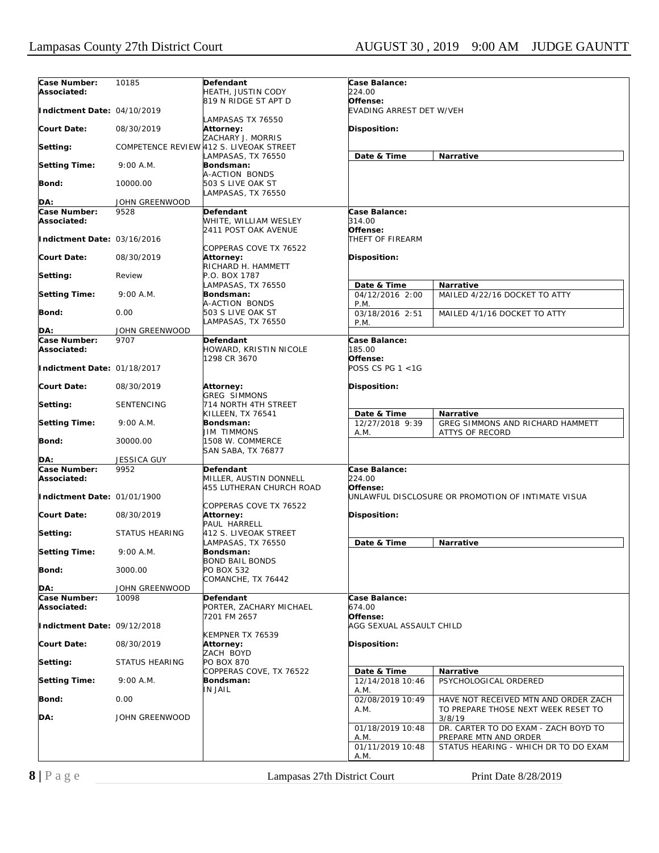| Case Number:<br>Associated:                | 10185          | Defendant<br>HEATH, JUSTIN CODY                              | Case Balance:<br>224.00                |                                                               |
|--------------------------------------------|----------------|--------------------------------------------------------------|----------------------------------------|---------------------------------------------------------------|
| Indictment Date: 04/10/2019                |                | 819 N RIDGE ST APT D                                         | Offense:<br>EVADING ARREST DET W/VEH   |                                                               |
| Court Date:                                | 08/30/2019     | LAMPASAS TX 76550<br>Attorney:                               | Disposition:                           |                                                               |
| Setting:                                   |                | ZACHARY J. MORRIS<br>COMPETENCE REVIEW 412 S. LIVEOAK STREET |                                        |                                                               |
| <b>Setting Time:</b>                       | $9:00$ A.M.    | LAMPASAS, TX 76550<br><b>Bondsman:</b>                       | Date & Time                            | Narrative                                                     |
| Bond:                                      | 10000.00       | A-ACTION BONDS<br>503 S LIVE OAK ST<br>LAMPASAS, TX 76550    |                                        |                                                               |
| DA:                                        | JOHN GREENWOOD |                                                              |                                        |                                                               |
| Case Number:                               | 9528           | Defendant                                                    | Case Balance:                          |                                                               |
| Associated:                                |                | WHITE, WILLIAM WESLEY                                        | 314.00                                 |                                                               |
| Indictment Date: 03/16/2016                |                | 2411 POST OAK AVENUE                                         | Offense:<br>THEFT OF FIREARM           |                                                               |
| Court Date:                                | 08/30/2019     | COPPERAS COVE TX 76522<br>Attorney:                          | Disposition:                           |                                                               |
| Setting:                                   | Review         | RICHARD H. HAMMETT<br>P.O. BOX 1787                          |                                        |                                                               |
| <b>Setting Time:</b>                       | 9:00 A.M.      | LAMPASAS, TX 76550<br><b>Bondsman:</b>                       | Date & Time<br>04/12/2016 2:00         | Narrative<br>MAILED 4/22/16 DOCKET TO ATTY                    |
|                                            |                | A-ACTION BONDS                                               | P.M.                                   |                                                               |
| Bond:                                      | 0.00           | 503 S LIVE OAK ST<br>LAMPASAS, TX 76550                      | 03/18/2016 2:51<br>P.M.                | MAILED 4/1/16 DOCKET TO ATTY                                  |
| DA:                                        | JOHN GREENWOOD |                                                              |                                        |                                                               |
| Case Number:                               | 9707           | Defendant                                                    | Case Balance:                          |                                                               |
| Associated:<br>Indictment Date: 01/18/2017 |                | HOWARD, KRISTIN NICOLE<br>1298 CR 3670                       | 185.00<br>Offense:<br>POSS CS PG 1 <1G |                                                               |
| <b>Court Date:</b>                         | 08/30/2019     | Attorney:                                                    | Disposition:                           |                                                               |
| Setting:                                   | SENTENCING     | <b>GREG SIMMONS</b><br>714 NORTH 4TH STREET                  |                                        |                                                               |
|                                            |                | KILLEEN, TX 76541                                            | Date & Time                            | Narrative                                                     |
| <b>Setting Time:</b>                       | $9:00$ A.M.    | Bondsman:<br>JIM TIMMONS                                     | 12/27/2018 9:39<br>A.M.                | GREG SIMMONS AND RICHARD HAMMETT<br>ATTYS OF RECORD           |
| Bond:                                      | 30000.00       | 1508 W. COMMERCE<br>SAN SABA, TX 76877                       |                                        |                                                               |
| DA:                                        | JESSICA GUY    |                                                              |                                        |                                                               |
| Case Number:<br>Associated:                | 9952           | Defendant<br>MILLER, AUSTIN DONNELL                          | Case Balance:<br>224.00                |                                                               |
| Indictment Date: 01/01/1900                |                | 455 LUTHERAN CHURCH ROAD                                     | Offense:                               | UNLAWFUL DISCLOSURE OR PROMOTION OF INTIMATE VISUA            |
| Court Date:                                | 08/30/2019     | COPPERAS COVE TX 76522<br>Attorney:                          | Disposition:                           |                                                               |
| Setting:                                   | STATUS HEARING | PAUL HARRELL<br>412 S. LIVEOAK STREET                        |                                        |                                                               |
| <b>Setting Time:</b>                       | $9:00$ A.M.    | LAMPASAS, TX 76550<br>Bondsman:<br><b>BOND BAIL BONDS</b>    | Date & Time                            | Narrative                                                     |
| Bond:                                      | 3000.00        | PO BOX 532<br>COMANCHE, TX 76442                             |                                        |                                                               |
| DA:                                        | JOHN GREENWOOD |                                                              |                                        |                                                               |
| Case Number:<br>Associated:                | 10098          | Defendant<br>PORTER, ZACHARY MICHAEL                         | Case Balance:<br>674.00                |                                                               |
| Indictment Date: 09/12/2018                |                | 7201 FM 2657                                                 | Offense:<br>AGG SEXUAL ASSAULT CHILD   |                                                               |
| <b>Court Date:</b>                         | 08/30/2019     | KEMPNER TX 76539<br>Attorney:                                | Disposition:                           |                                                               |
| Setting:                                   | STATUS HEARING | ZACH BOYD<br><b>PO BOX 870</b>                               |                                        |                                                               |
| <b>Setting Time:</b>                       | 9:00 A.M.      | COPPERAS COVE, TX 76522<br>Bondsman:                         | Date & Time<br>12/14/2018 10:46        | Narrative<br>PSYCHOLOGICAL ORDERED                            |
| <b>Bond:</b>                               | 0.00           | IN JAIL                                                      | A.M.<br>02/08/2019 10:49               | HAVE NOT RECEIVED MTN AND ORDER ZACH                          |
| DA:                                        | JOHN GREENWOOD |                                                              | A.M.                                   | TO PREPARE THOSE NEXT WEEK RESET TO<br>3/8/19                 |
|                                            |                |                                                              | 01/18/2019 10:48<br>A.M.               | DR. CARTER TO DO EXAM - ZACH BOYD TO<br>PREPARE MTN AND ORDER |
|                                            |                |                                                              | 01/11/2019 10:48<br>A.M.               | STATUS HEARING - WHICH DR TO DO EXAM                          |